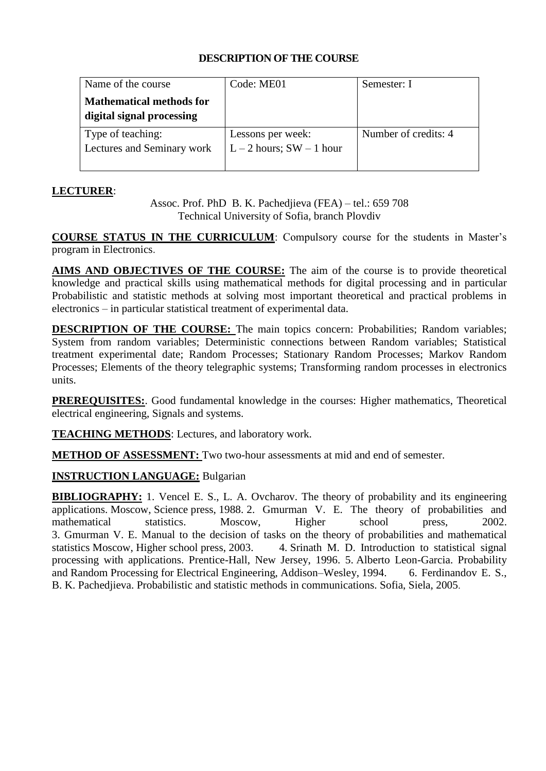| Name of the course              | Code: ME01               | Semester: I          |
|---------------------------------|--------------------------|----------------------|
| <b>Mathematical methods for</b> |                          |                      |
| digital signal processing       |                          |                      |
| Type of teaching:               | Lessons per week:        | Number of credits: 4 |
| Lectures and Seminary work      | $L-2$ hours; SW - 1 hour |                      |
|                                 |                          |                      |

## **LECTURER**:

Assoc. Prof. PhD B. K. Pachedjieva (FEA) – tel.: 659 708 Technical University of Sofia, branch Plovdiv

**COURSE STATUS IN THE CURRICULUM**: Compulsory course for the students in Master's program in Electronics.

**AIMS AND OBJECTIVES OF THE COURSE:** The aim of the course is to provide theoretical knowledge and practical skills using mathematical methods for digital processing and in particular Probabilistic and statistic methods at solving most important theoretical and practical problems in electronics – in particular statistical treatment of experimental data.

**DESCRIPTION OF THE COURSE:** The main topics concern: Probabilities; Random variables; System from random variables; Deterministic connections between Random variables; Statistical treatment experimental date; Random Processes; Stationary Random Processes; Markov Random Processes; Elements of the theory telegraphic systems; Transforming random processes in electronics units.

**PREREQUISITES:**. Good fundamental knowledge in the courses: Higher mathematics, Theoretical electrical engineering, Signals and systems.

**TEACHING METHODS**: Lectures, and laboratory work.

**METHOD OF ASSESSMENT:** Two two-hour assessments at mid and end of semester.

# **INSTRUCTION LANGUAGE:** Bulgarian

**BIBLIOGRAPHY:** 1. Vencel E. S., L. A. Ovcharov. The theory of probability and its engineering applications. Moscow, Science press, 1988. 2. Gmurman V. E. The theory of probabilities and mathematical statistics. Moscow, Higher school press, 2002. 3. Gmurman V. E. Мanual to the decision of tasks on the theory of probabilities and mathematical statistics Moscow, Higher school press, 2003. 4. Srinath M. D. Introduction to statistical signal processing with applications. Prentice-Hall, New Jersey, 1996. 5. Alberto Leon-Garcia. Probability and Random Processing for Electrical Engineering, Addison–Wesley, 1994. 6. Ferdinandov E. S., B. K. Pachedjieva. Probabilistic and statistic methods in communications. Sofia, Siela, 2005.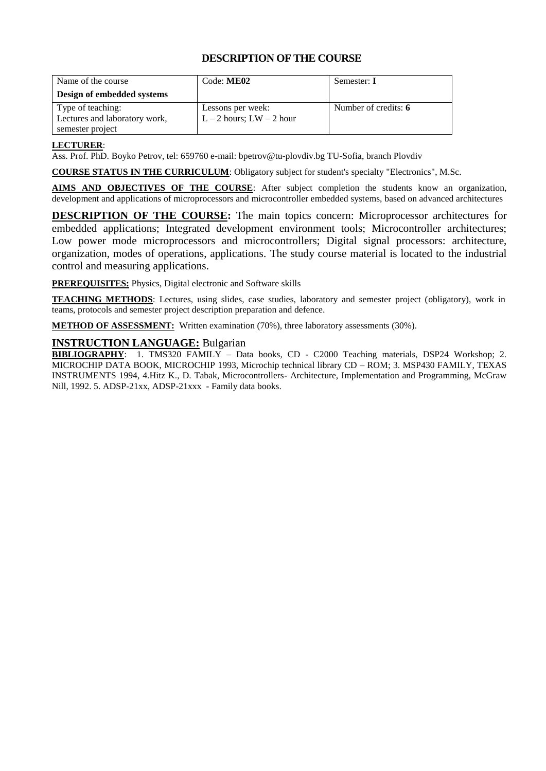| Name of the course                                 | Code: ME02                                        | Semester: I          |
|----------------------------------------------------|---------------------------------------------------|----------------------|
| Design of embedded systems                         |                                                   |                      |
| Type of teaching:<br>Lectures and laboratory work, | Lessons per week:<br>$L - 2$ hours; $LW - 2$ hour | Number of credits: 6 |
| semester project                                   |                                                   |                      |

#### **LECTURER**:

Ass. Prof. PhD. Boyko Petrov, tel: 659760 e-mail: bpetrov@tu-plovdiv.bg TU-Sofia, branch Plovdiv

**COURSE STATUS IN THE CURRICULUM**: Obligatory subject for student's specialty "Electronics", M.Sc.

**AIMS AND OBJECTIVES OF THE COURSE**: After subject completion the students know an organization, development and applications of microprocessors and microcontroller embedded systems, based on advanced architectures

**DESCRIPTION OF THE COURSE:** The main topics concern: Microprocessor architectures for embedded applications; Integrated development environment tools; Microcontroller architectures; Low power mode microprocessors and microcontrollers; Digital signal processors: architecture, organization, modes of operations, applications. The study course material is located to the industrial control and measuring applications.

**PREREQUISITES:** Physics, Digital electronic and Software skills

**TEACHING METHODS**: Lectures, using slides, case studies, laboratory and semester project (obligatory), work in teams, protocols and semester project description preparation and defence.

**METHOD OF ASSESSMENT:** Written examination (70%), three laboratory assessments (30%).

#### **INSTRUCTION LANGUAGE:** Bulgarian

**BIBLIOGRAPHY**: 1. TMS320 FAMILY – Data books, CD - C2000 Teaching materials, DSP24 Workshop; 2. MICROCHIP DATA BOOK, MICROCHIP 1993, Microchip technical library CD – ROM; 3. MSP430 FAMILY, TEXAS INSTRUMENTS 1994, 4.Hitz K., D. Tabak, Microcontrollers- Architecture, Implementation and Programming, McGraw Nill, 1992. 5. ADSP-21xx, ADSP-21xxx - Family data books.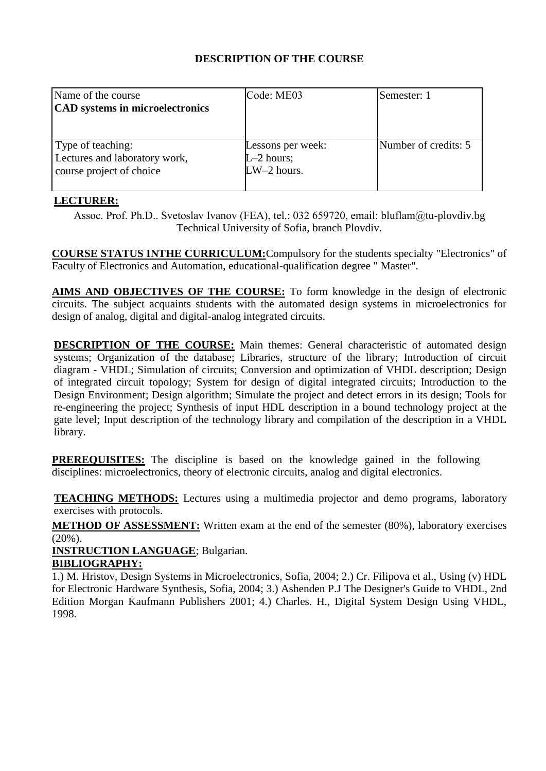| Name of the course<br>CAD systems in microelectronics                          | Code: ME03                                         | Semester: 1          |
|--------------------------------------------------------------------------------|----------------------------------------------------|----------------------|
| Type of teaching:<br>Lectures and laboratory work,<br>course project of choice | Lessons per week:<br>$L-2$ hours;<br>$LW-2$ hours. | Number of credits: 5 |

# **LECTURER:**

Assoc. Prof. Ph.D.. Svetoslav Ivanov (FEA), tel.: 032 659720, еmail: bluflam@tu-plovdiv.bg Technical University of Sofia, branch Plovdiv.

**COURSE STATUS INTHE CURRICULUM:**Compulsory for the students specialty "Electronics" of Faculty of Electronics and Automation, educational-qualification degree " Master".

**AIMS AND OBJECTIVES OF THE COURSE:** To form knowledge in the design of electronic circuits. The subject acquaints students with the automated design systems in microelectronics for design of analog, digital and digital-analog integrated circuits.

**DESCRIPTION OF THE COURSE:** Main themes: General characteristic of automated design systems; Organization of the database; Libraries, structure of the library; Introduction of circuit diagram - VHDL; Simulation of circuits; Conversion and optimization of VHDL description; Design of integrated circuit topology; System for design of digital integrated circuits; Introduction to the Design Environment; Design algorithm; Simulate the project and detect errors in its design; Tools for re-engineering the project; Synthesis of input HDL description in a bound technology project at the gate level; Input description of the technology library and compilation of the description in a VHDL library.

**PREREQUISITES:** The discipline is based on the knowledge gained in the following disciplines: microelectronics, theory of electronic circuits, analog and digital electronics.

**TEACHING METHODS:** Lectures using a multimedia projector and demo programs, laboratory exercises with protocols.

**METHOD OF ASSESSMENT:** Written exam at the end of the semester (80%), laboratory exercises (20%).

**INSTRUCTION LANGUAGE**; Bulgarian.

#### **BIBLIOGRAPHY:**

1.) M. Hristov, Design Systems in Microelectronics, Sofia, 2004; 2.) Cr. Filipova et al., Using (v) HDL for Electronic Hardware Synthesis, Sofia, 2004; 3.) Ashenden P.J The Designer's Guide to VHDL, 2nd Edition Morgan Kaufmann Publishers 2001; 4.) Charles. H., Digital System Design Using VHDL, 1998.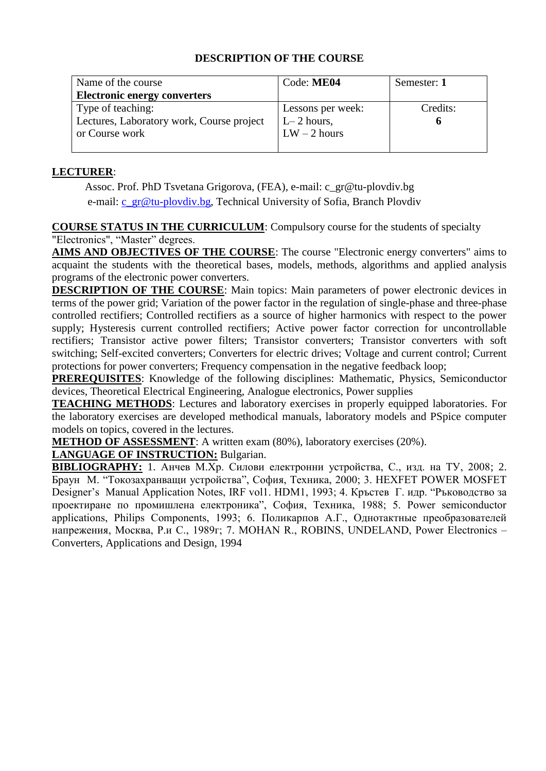| Name of the course                        | Code: ME04        | Semester: 1 |
|-------------------------------------------|-------------------|-------------|
| <b>Electronic energy converters</b>       |                   |             |
| Type of teaching:                         | Lessons per week: | Credits:    |
| Lectures, Laboratory work, Course project | $L-2$ hours,      |             |
| or Course work                            | $LW - 2$ hours    |             |
|                                           |                   |             |

#### **LECTURER**:

Assoc. Prof. PhD Tsvetana Grigorova, (FEA), e-mail: c\_gr@tu-plovdiv.bg e-mail: [c\\_gr@tu-plovdiv.bg,](mailto:c_gr@tu-plovdiv.bg) Technical University of Sofia, Branch Plovdiv

**COURSE STATUS IN THE CURRICULUM**: Compulsory course for the students of specialty "Electronics", "Master" degrees.

**AIMS AND OBJECTIVES OF THE COURSE**: The course "Electronic energy converters" aims to acquaint the students with the theoretical bases, models, methods, algorithms and applied analysis programs of the electronic power converters.

**DESCRIPTION OF THE COURSE:** Main topics: Main parameters of power electronic devices in terms of the power grid; Variation of the power factor in the regulation of single-phase and three-phase controlled rectifiers; Controlled rectifiers as a source of higher harmonics with respect to the power supply; Hysteresis current controlled rectifiers; Active power factor correction for uncontrollable rectifiers; Transistor active power filters; Transistor converters; Transistor converters with soft switching; Self-excited converters; Converters for electric drives; Voltage and current control; Current protections for power converters; Frequency compensation in the negative feedback loop;

**PREREQUISITES**: Knowledge of the following disciplines: Mathematic, Physics, Semiconductor devices, Theoretical Electrical Engineering, Analogue electronics, Power supplies

**TEACHING METHODS**: Lectures and laboratory exercises in properly equipped laboratories. For the laboratory exercises are developed methodical manuals, laboratory models and PSpice computer models on topics, covered in the lectures.

**METHOD OF ASSESSMENT**: A written exam (80%), laboratory exercises (20%).

#### **LANGUAGE OF INSTRUCTION:** Bulgarian.

**BIBLIOGRAPHY:** 1. Анчев М.Хр. Силови електронни устройства, С., изд. на ТУ, 2008; 2. Браун М. "Токозахранващи устройства", София, Техника, 2000; 3. HEXFET POWER MOSFET Designer's Manual Application Notes, IRF vol1. HDM1, 1993; 4. Кръстев Г. идр. "Ръководство за проектиране по промишлена електроника", София, Техника, 1988; 5. Power semiconductor applications, Philips Components, 1993; 6. Поликарпов А.Г., Однотактные преобразователей напрежения, Москва, Р.и С., 1989г; 7. МOHAN R., ROBINS, UNDELAND, Power Electronics – Converters, Applications and Design, 1994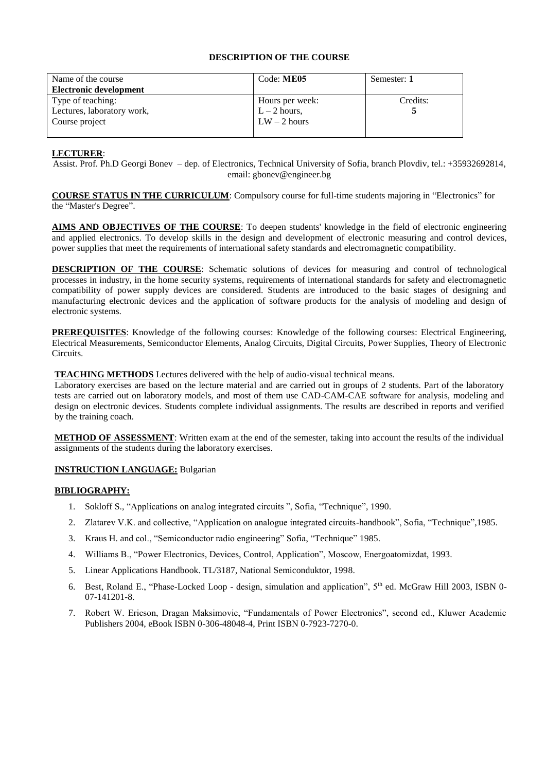| Name of the course            | Code: ME05      | Semester: 1 |
|-------------------------------|-----------------|-------------|
| <b>Electronic development</b> |                 |             |
| Type of teaching:             | Hours per week: | Credits:    |
| Lectures, laboratory work,    | $L - 2$ hours,  |             |
| Course project                | $LW - 2$ hours  |             |
|                               |                 |             |

#### **LECTURER**:

Assist. Prof. Ph.D Georgi Bonev – dep. of Electronics, Technical University of Sofia, branch Plovdiv, tel.: +35932692814, email: gbonev@engineer.bg

**COURSE STATUS IN THE CURRICULUM**: Compulsory course for full-time students majoring in "Electronics" for the "Master's Degree".

**AIMS AND OBJECTIVES OF THE COURSE**: To deepen students' knowledge in the field of electronic engineering and applied electronics. To develop skills in the design and development of electronic measuring and control devices, power supplies that meet the requirements of international safety standards and electromagnetic compatibility.

**DESCRIPTION OF THE COURSE:** Schematic solutions of devices for measuring and control of technological processes in industry, in the home security systems, requirements of international standards for safety and electromagnetic compatibility of power supply devices are considered. Students are introduced to the basic stages of designing and manufacturing electronic devices and the application of software products for the analysis of modeling and design of electronic systems.

**PREREQUISITES**: Knowledge of the following courses: Knowledge of the following courses: Electrical Engineering, Electrical Measurements, Semiconductor Elements, Analog Circuits, Digital Circuits, Power Supplies, Theory of Electronic Circuits.

**TEACHING METHODS** Lectures delivered with the help of audio-visual technical means.

Laboratory exercises are based on the lecture material and are carried out in groups of 2 students. Part of the laboratory tests are carried out on laboratory models, and most of them use CAD-CAM-CAE software for analysis, modeling and design on electronic devices. Students complete individual assignments. The results are described in reports and verified by the training coach.

**METHOD OF ASSESSMENT**: Written exam at the end of the semester, taking into account the results of the individual assignments of the students during the laboratory exercises.

**INSTRUCTION LANGUAGE:** Bulgarian

#### **BIBLIOGRAPHY:**

- 1. Sokloff S., "Applications on analog integrated circuits ", Sofia, "Technique", 1990.
- 2. Zlatarev V.K. and collective, "Application on analogue integrated circuits-handbook", Sofia, "Technique",1985.
- 3. Kraus H. and col., "Semiconductor radio engineering" Sofia, "Technique" 1985.
- 4. Williams B., "Power Electronics, Devices, Control, Application", Moscow, Energoatomizdat, 1993.
- 5. Linear Applications Handbook. TL/3187, National Semiconduktor, 1998.
- 6. Best, Roland E., "Phase-Locked Loop design, simulation and application",  $5<sup>th</sup>$  ed. McGraw Hill 2003, ISBN 0-07-141201-8.
- 7. Robert W. Ericson, Dragan Maksimovic, "Fundamentals of Power Electronics", second ed., Kluwer Academic Publishers 2004, eBook ISBN 0-306-48048-4, Print ISBN 0-7923-7270-0.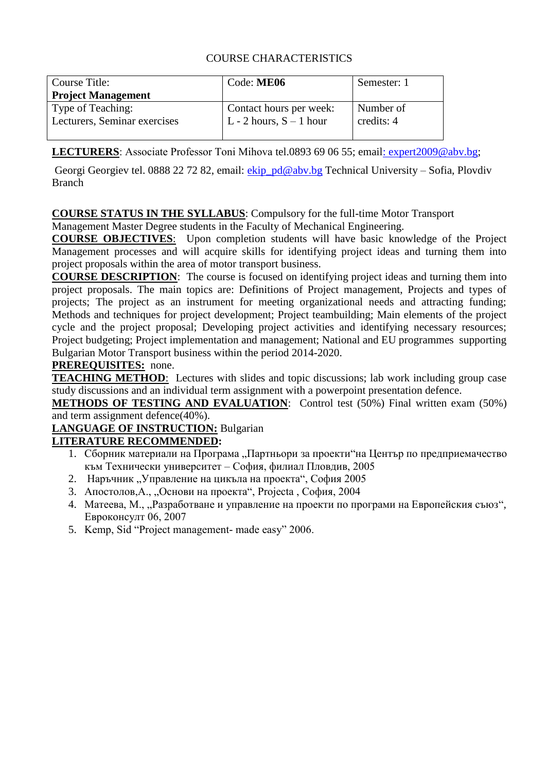# COURSE CHARACTERISTICS

| Course Title:<br><b>Project Management</b> | Code: ME06                | Semester: 1 |
|--------------------------------------------|---------------------------|-------------|
| Type of Teaching:                          | Contact hours per week:   | Number of   |
| Lecturers, Seminar exercises               | L - 2 hours, $S - 1$ hour | credits: 4  |

**LECTURERS**: Associate Professor Тоni Mihova tel.0893 69 06 55; emai[l: expert2009@abv.bg;](ENG-2020/MAgistri_ENG/darjanov@tu-sofia.bg)

Georgi Georgiev tel. 0888 22 72 82, email: [ekip\\_pd@abv.bg](mailto:ekip_pd@abv.bg) Technical University – Sofia, Plovdiv Branch

# **COURSE STATUS IN THE SYLLABUS**: Compulsory for the full-time Motor Transport

Management Master Degree students in the Faculty of Mechanical Engineering.

**COURSE OBJECTIVES**: Upon completion students will have basic knowledge of the Project Management processes and will acquire skills for identifying project ideas and turning them into project proposals within the area of motor transport business.

**COURSE DESCRIPTION**: The course is focused on identifying project ideas and turning them into project proposals. The main topics are: Definitions of Project management, Projects and types of projects; The project as an instrument for meeting organizational needs and attracting funding; Methods and techniques for project development; Project teambuilding; Main elements of the project cycle and the project proposal; Developing project activities and identifying necessary resources; Project budgeting; Project implementation and management; National and EU programmes supporting Bulgarian Motor Transport business within the period 2014-2020.

## **PREREQUISITES:** none.

**TEACHING METHOD**: Lectures with slides and topic discussions; lab work including group case study discussions and an individual term assignment with a powerpoint presentation defence.

**METHODS OF TESTING AND EVALUATION:** Control test (50%) Final written exam (50%) and term assignment defence(40%).

# **LANGUAGE OF INSTRUCTION:** Bulgarian

# **LITERATURE RECOMMENDED:**

- 1. Сборник материали на Програма "Партньори за проекти"на Център по предприемачество към Технически университет – София, филиал Пловдив, 2005
- 2. Наръчник "Управление на цикъла на проекта", София 2005
- 3. Апостолов,A., "Основи на проекта", Projecta , София, 2004
- 4. Матеева, М., "Разработване и управление на проекти по програми на Европейския съюз", Евроконсулт 06, 2007
- 5. Kemp, Sid "Project management- made easy" 2006.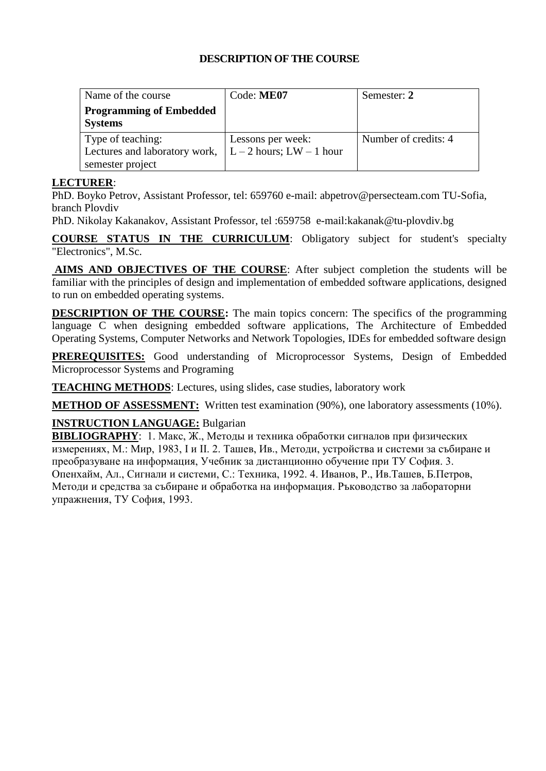| Name of the course             | Code: ME07                       | Semester: 2          |
|--------------------------------|----------------------------------|----------------------|
| <b>Programming of Embedded</b> |                                  |                      |
| <b>Systems</b>                 |                                  |                      |
| Type of teaching:              | Lessons per week:                | Number of credits: 4 |
| Lectures and laboratory work,  | $\vert$ L – 2 hours; LW – 1 hour |                      |
| semester project               |                                  |                      |

#### **LECTURER**:

PhD. Boyko Petrov, Assistant Professor, tel: 659760 e-mail: abpetrov@persecteam.com TU-Sofia, branch Plovdiv

PhD. Nikolay Kakanakov, Assistant Professor, tel :659758 e-mail:kakanak@tu-plovdiv.bg

**COURSE STATUS IN THE CURRICULUM**: Obligatory subject for student's specialty "Electronics", M.Sc.

**AIMS AND OBJECTIVES OF THE COURSE**: After subject completion the students will be familiar with the principles of design and implementation of embedded software applications, designed to run on embedded operating systems.

**DESCRIPTION OF THE COURSE:** The main topics concern: The specifics of the programming language C when designing embedded software applications, The Architecture of Embedded Operating Systems, Computer Networks and Network Topologies, IDEs for embedded software design

**PREREQUISITES:** Good understanding of Microprocessor Systems, Design of Embedded Microprocessor Systems and Programing

**TEACHING METHODS**: Lectures, using slides, case studies, laboratory work

**METHOD OF ASSESSMENT:** Written test examination (90%), one laboratory assessments (10%).

# **INSTRUCTION LANGUAGE:** Bulgarian

**BIBLIOGRAPHY**:1. Макс, Ж., Методы и техника обработки сигналов при физических измерениях, М.: Мир, 1983, I и II. 2. Ташев, Ив., Методи, устройства и системи за събиране и преобразуване на информация, Учебник за дистанционно обучение при ТУ София. 3. Опенхайм, Ал., Сигнали и системи, С.: Техника, 1992. 4. Иванов, Р., Ив.Ташев, Б.Петров, Методи и средства за събиране и обработка на информация. Ръководство за лабораторни упражнения, ТУ София, 1993.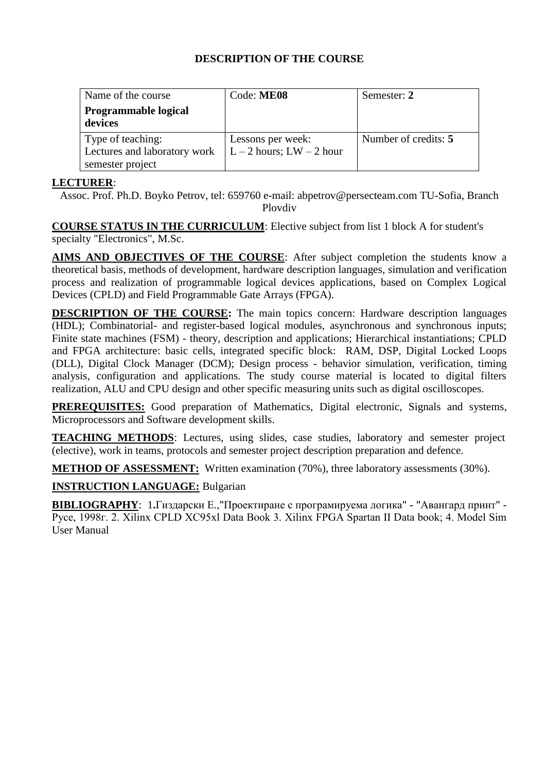| Name of the course           | Code: ME08                 | Semester: 2          |
|------------------------------|----------------------------|----------------------|
| <b>Programmable logical</b>  |                            |                      |
| devices                      |                            |                      |
| Type of teaching:            | Lessons per week:          | Number of credits: 5 |
| Lectures and laboratory work | $L-2$ hours; $LW - 2$ hour |                      |
| semester project             |                            |                      |

#### **LECTURER**:

Assoc. Prof. Ph.D. Boyko Petrov, tel: 659760 e-mail: abpetrov@persecteam.com TU-Sofia, Branch Plovdiv

**COURSE STATUS IN THE CURRICULUM**: Elective subject from list 1 block A for student's specialty "Electronics", M.Sc.

**AIMS AND OBJECTIVES OF THE COURSE**: After subject completion the students know a theoretical basis, methods of development, hardware description languages, simulation and verification process and realization of programmable logical devices applications, based on Complex Logical Devices (CPLD) and Field Programmable Gate Arrays (FPGA).

**DESCRIPTION OF THE COURSE:** The main topics concern: Hardware description languages (HDL); Combinatorial- and register-based logical modules, asynchronous and synchronous inputs; Finite state machines (FSM) - theory, description and applications; Hierarchical instantiations; CPLD and FPGA architecture: basic cells, integrated specific block: RAM, DSP, Digital Locked Loops (DLL), Digital Clock Manager (DCM); Design process - behavior simulation, verification, timing analysis, configuration and applications. The study course material is located to digital filters realization, ALU and CPU design and other specific measuring units such as digital oscilloscopes.

**PREREQUISITES:** Good preparation of Mathematics, Digital electronic, Signals and systems, Microprocessors and Software development skills.

**TEACHING METHODS**: Lectures, using slides, case studies, laboratory and semester project (elective), work in teams, protocols and semester project description preparation and defence.

**METHOD OF ASSESSMENT:** Written examination (70%), three laboratory assessments (30%).

# **INSTRUCTION LANGUAGE:** Bulgarian

**BIBLIOGRAPHY**: 1**.**Гиздарски Е.,"Проектиране с програмируема логика" - "Авангард принт" - Русе, 1998г. 2. Xilinx CPLD XC95xl Data Book 3. Xilinx FPGA Spartan II Data book; 4. Model Sim User Manual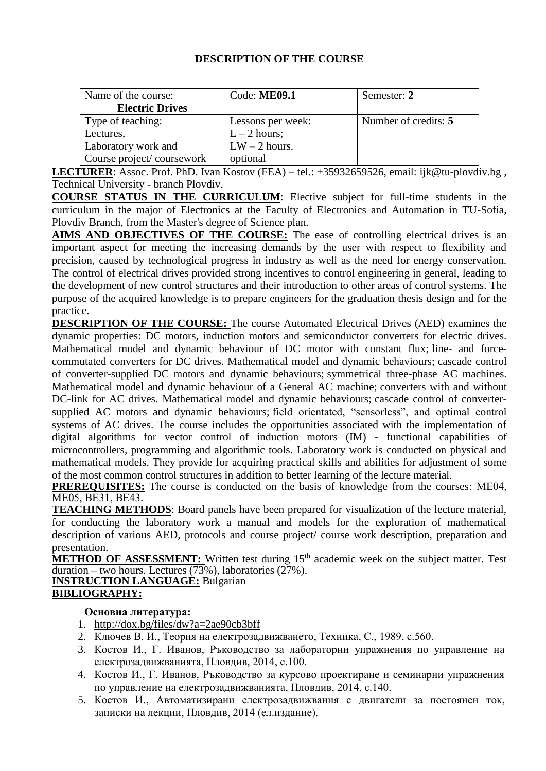| Name of the course:       | Code: $ME09.1$    | Semester: 2          |
|---------------------------|-------------------|----------------------|
| <b>Electric Drives</b>    |                   |                      |
| Type of teaching:         | Lessons per week: | Number of credits: 5 |
| Lectures,                 | $L - 2$ hours;    |                      |
| Laboratory work and       | $LW - 2$ hours.   |                      |
| Course project/coursework | optional          |                      |

**LECTURER**: Assoc. Prof. PhD. Ivan Kostov (FEA) – tel.: +35932659526, email: [ijk@tu-plovdiv.bg](ENG-2020/MAgistri_ENG/ijk@tu-plovdiv.bg) , Technical University - branch Plovdiv.

**COURSE STATUS IN THE CURRICULUM**: Elective subject for full-time students in the curriculum in the major of Electronics at the Faculty of Electronics and Automation in TU-Sofia, Plovdiv Branch, from the Master's degree of Science plan.

**AIMS AND OBJECTIVES OF THE COURSE:** The ease of controlling electrical drives is an important aspect for meeting the increasing demands by the user with respect to flexibility and precision, caused by technological progress in industry as well as the need for energy conservation. The control of electrical drives provided strong incentives to control engineering in general, leading to the development of new control structures and their introduction to other areas of control systems. The purpose of the acquired knowledge is to prepare engineers for the graduation thesis design and for the practice.

**DESCRIPTION OF THE COURSE:** The course Automated Electrical Drives (AED) examines the dynamic properties: DC motors, induction motors and semiconductor converters for electric drives. Mathematical model and dynamic behaviour of DC motor with constant flux; line- and forcecommutated converters for DC drives. Mathematical model and dynamic behaviours; cascade control of converter-supplied DC motors and dynamic behaviours; symmetrical three-phase AC machines. Mathematical model and dynamic behaviour of a General AC machine; converters with and without DC-link for AC drives. Mathematical model and dynamic behaviours; cascade control of convertersupplied AC motors and dynamic behaviours; field orientated, "sensorless", and optimal control systems of AC drives. The course includes the opportunities associated with the implementation of digital algorithms for vector control of induction motors (IM) - functional capabilities of microcontrollers, programming and algorithmic tools. Laboratory work is conducted on physical and mathematical models. They provide for acquiring practical skills and abilities for adjustment of some of the most common control structures in addition to better learning of the lecture material.

**PREREQUISITES:** The course is conducted on the basis of knowledge from the courses: МЕ04, МЕ05, ВЕ31, ВЕ43.

**TEACHING METHODS**: Board panels have been prepared for visualization of the lecture material, for conducting the laboratory work a manual and models for the exploration of mathematical description of various AED, protocols and course project/ course work description, preparation and presentation.

**METHOD OF ASSESSMENT:** Written test during 15<sup>th</sup> academic week on the subject matter. Test  $\overline{\text{duration}} - \text{two hours.}$  Lectures (73%), laboratories (27%).

**INSTRUCTION LANGUAGE:** Bulgarian **BIBLIOGRAPHY:**

#### **Основна литература:**

- 1. <http://dox.bg/files/dw?a=2ae90cb3bff>
- 2. Ключев В. И., Теория на електрозадвижването, Техника, С., 1989, с.560.
- 3. Костов И., Г. Иванов, Ръководство за лабораторни упражнения по управление на електрозадвижванията, Пловдив, 2014, с.100.
- 4. Костов И., Г. Иванов, Ръководство за курсово проектиране и семинарни упражнения по управление на електрозадвижванията, Пловдив, 2014, с.140.
- 5. Костов И., Автоматизирани електрозадвижвания с двигатели за постоянен ток, записки на лекции, Пловдив, 2014 (ел.издание).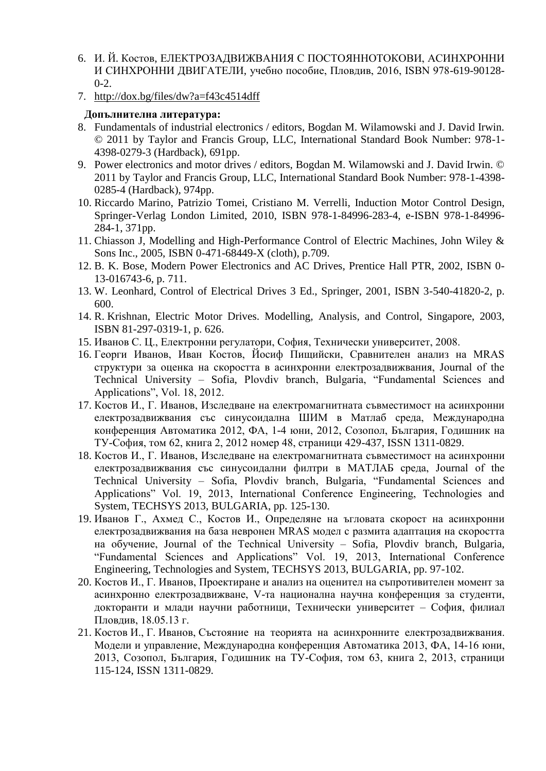- 6. И. Й. Костов, ЕЛЕКТРОЗАДВИЖВАНИЯ С ПОСТОЯННОТОКОВИ, АСИНХРОННИ И СИНХРОННИ ДВИГАТЕЛИ, учебно пособие, Пловдив, 2016, ISBN 978-619-90128-  $0-2.$
- 7. <http://dox.bg/files/dw?a=f43c4514dff>

# **Допълнителна литература:**

- 8. Fundamentals of industrial electronics / editors, Bogdan M. Wilamowski and J. David Irwin. © 2011 by Taylor and Francis Group, LLC, International Standard Book Number: 978-1- 4398-0279-3 (Hardback), 691pp.
- 9. Power electronics and motor drives / editors, Bogdan M. Wilamowski and J. David Irwin. © 2011 by Taylor and Francis Group, LLC, International Standard Book Number: 978-1-4398- 0285-4 (Hardback), 974pp.
- 10. Riccardo Marino, Patrizio Tomei, Cristiano M. Verrelli, Induction Motor Control Design, Springer-Verlag London Limited, 2010, ISBN 978-1-84996-283-4, e-ISBN 978-1-84996- 284-1, 371pp.
- 11. Chiasson J, Modelling and High-Performance Control of Electric Machines, John Wiley & Sons Inc., 2005, ISBN 0-471-68449-X (cloth), p.709.
- 12. B. K. Bose, Modern Power Electronics and AC Drives, Prentice Hall PTR, 2002, ISBN 0- 13-016743-6, p. 711.
- 13. W. Leonhard, Control of Electrical Drives 3 Ed., Springer, 2001, ISBN 3-540-41820-2, p. 600.
- 14. R. Krishnan, Electric Motor Drives. Modelling, Analysis, and Control, Singapore, 2003, ISBN 81-297-0319-1, p. 626.
- 15. Иванов С. Ц., Електронни регулатори, София, Технически университет, 2008.
- 16. Георги Иванов, Иван Костов, Йосиф Пищийски, Сравнителен анализ на MRAS структури за оценка на скоростта в асинхронни електрозадвижвания, Journal of the Technical University – Sofia, Plovdiv branch, Bulgaria, "Fundamental Sciences and Applications", Vol. 18, 2012.
- 17. Костов И., Г. Иванов, Изследване на електромагнитната съвместимост на асинхронни електрозадвижвания със синусоидална ШИМ в Матлаб среда, Международна конференция Автоматика 2012, ФА, 1-4 юни, 2012, Созопол, България, Годишник на ТУ-София, том 62, книга 2, 2012 номер 48, страници 429-437, ISSN 1311-0829.
- 18. Костов И., Г. Иванов, Изследване на електромагнитната съвместимост на асинхронни електрозадвижвания със синусоидални филтри в МАТЛАБ среда, Journal of the Technical University – Sofia, Plovdiv branch, Bulgaria, "Fundamental Sciences and Applications" Vol. 19, 2013, International Conference Engineering, Technologies and System, TECHSYS 2013, BULGARIA, pp. 125-130.
- 19. Иванов Г., Ахмед С., Костов И., Определяне на ъгловата скорост на асинхронни електрозадвижвания на база невронен MRAS модел с размита адаптация на скоростта на обучение, Journal of the Technical University – Sofia, Plovdiv branch, Bulgaria, "Fundamental Sciences and Applications" Vol. 19, 2013, International Conference Engineering, Technologies and System, TECHSYS 2013, BULGARIA, pp. 97-102.
- 20. Костов И., Г. Иванов, Проектиране и анализ на оценител на съпротивителен момент за асинхронно електрозадвижване, V-та национална научна конференция за студенти, докторанти и млади научни работници, Технически университет – София, филиал Пловдив, 18.05.13 г.
- 21. Костов И., Г. Иванов, Състояние на теорията на асинхронните електрозадвижвания. Модели и управление, Международна конференция Автоматика 2013, ФА, 14-16 юни, 2013, Созопол, България, Годишник на ТУ-София, том 63, книга 2, 2013, страници 115-124, ISSN 1311-0829.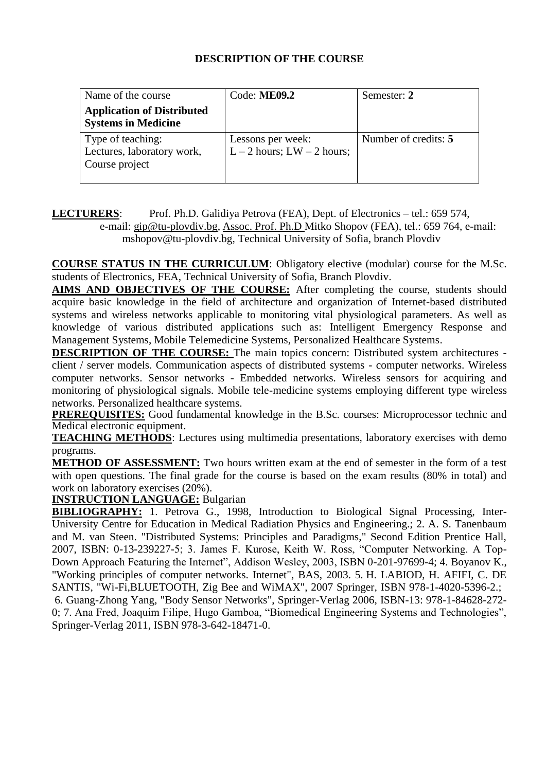| Name of the course                                                | Code: ME09.2                                      | Semester: 2          |
|-------------------------------------------------------------------|---------------------------------------------------|----------------------|
| <b>Application of Distributed</b><br><b>Systems in Medicine</b>   |                                                   |                      |
| Type of teaching:<br>Lectures, laboratory work,<br>Course project | Lessons per week:<br>$L-2$ hours; $LW - 2$ hours; | Number of credits: 5 |

# **LECTURERS**: Prof. Ph.D. Galidiya Petrova (FEA), Dept. of Electronics – tel.: 659 574,

e-mail: [gip@tu-plovdiv.bg,](mailto:gip@tu-plovdiv.bg) Assoc. Prof. Ph.D Mitko Shopov (FEA), tel.: 659 764, e-mail: mshopov@tu-plovdiv.bg, Technical University of Sofia, branch Plovdiv

**COURSE STATUS IN THE CURRICULUM**: Obligatory elective (modular) course for the M.Sc. students of Electronics, FEA, Technical University of Sofia, Branch Plovdiv.

**AIMS AND OBJECTIVES OF THE COURSE:** After completing the course, students should acquire basic knowledge in the field of architecture and organization of Internet-based distributed systems and wireless networks applicable to monitoring vital physiological parameters. As well as knowledge of various distributed applications such as: Intelligent Emergency Response and Management Systems, Mobile Telemedicine Systems, Personalized Healthcare Systems.

**DESCRIPTION OF THE COURSE:** The main topics concern: Distributed system architectures client / server models. Communication aspects of distributed systems - computer networks. Wireless computer networks. Sensor networks - Embedded networks. Wireless sensors for acquiring and monitoring of physiological signals. Mobile tele-medicine systems employing different type wireless networks. Personalized healthcare systems.

**PREREQUISITES:** Good fundamental knowledge in the B.Sc. courses: Microprocessor technic and Medical electronic equipment.

**TEACHING METHODS**: Lectures using multimedia presentations, laboratory exercises with demo programs.

**METHOD OF ASSESSMENT:** Two hours written exam at the end of semester in the form of a test with open questions. The final grade for the course is based on the exam results (80% in total) and work on laboratory exercises (20%).

**INSTRUCTION LANGUAGE:** Bulgarian

**BIBLIOGRAPHY:** 1. Petrova G., 1998, Introduction to Biological Signal Processing, Inter-University Centre for Education in Medical Radiation Physics and Engineering.; 2. A. S. Tanenbaum and M. van Steen. "Distributed Systems: Principles and Paradigms," Second Edition Prentice Hall, 2007, ISBN: 0-13-239227-5; 3. James F. Kurose, Keith W. Ross, "Computer Networking. A Top-Down Approach Featuring the Internet", Addison Wesley, 2003, ISBN 0-201-97699-4; 4. Boyanov K., "Working principles of computer networks. Internet", BAS, 2003. 5. H. LABIOD, H. AFIFI, C. DE SANTIS, "Wi-Fi,BLUETOOTH, Zig Bee and WiMAX", 2007 Springer, ISBN 978-1-4020-5396-2.; 6. Guang-Zhong Yang, "Body Sensor Networks", Springer-Verlag 2006, ISBN-13: 978-1-84628-272- 0; 7. Ana Fred, Joaquim Filipe, Hugo Gamboa, "Biomedical Engineering Systems and Technologies", Springer-Verlag 2011, ISBN 978-3-642-18471-0.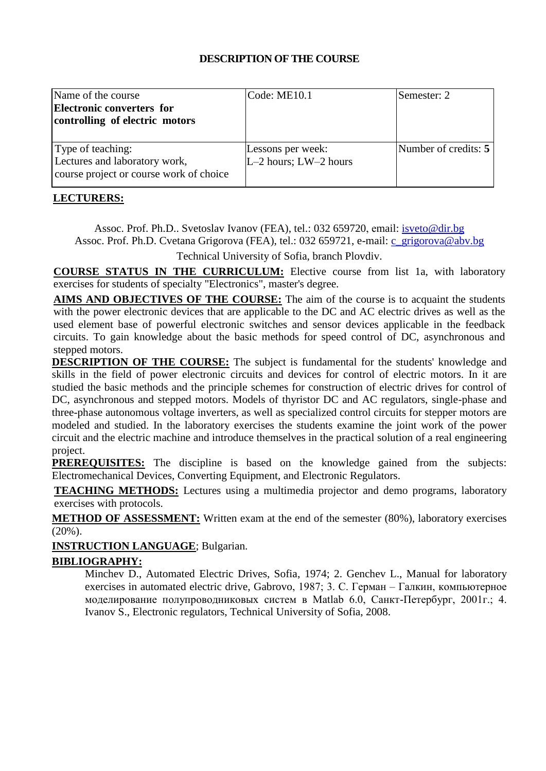| Name of the course                      | $\text{Code: ME10.1}$     | Semester: 2          |
|-----------------------------------------|---------------------------|----------------------|
| <b>Electronic converters for</b>        |                           |                      |
| controlling of electric motors          |                           |                      |
|                                         |                           |                      |
| Type of teaching:                       | Lessons per week:         | Number of credits: 5 |
| Lectures and laboratory work,           | $L-2$ hours; $LW-2$ hours |                      |
| course project or course work of choice |                           |                      |

#### **LECTURERS:**

Assoc. Prof. Ph.D.. Svetoslav Ivanov (FEA), tel.: 032 659720, еmail: [isveto@dir.bg](mailto:isveto@dir.bg) Assoc. Prof. Ph.D. Cvetana Grigorova (FEA), tel.: 032 659721, e-mail: [c\\_grigorova@abv.bg](mailto:c_grigorova@abv.bg)

Technical University of Sofia, branch Plovdiv.

**COURSE STATUS IN THE CURRICULUM:** Elective course from list 1a, with laboratory exercises for students of specialty "Electronics", master's degree.

**AIMS AND OBJECTIVES OF THE COURSE:** The aim of the course is to acquaint the students with the power electronic devices that are applicable to the DC and AC electric drives as well as the used element base of powerful electronic switches and sensor devices applicable in the feedback circuits. To gain knowledge about the basic methods for speed control of DC, asynchronous and stepped motors.

**DESCRIPTION OF THE COURSE:** The subject is fundamental for the students' knowledge and skills in the field of power electronic circuits and devices for control of electric motors. In it are studied the basic methods and the principle schemes for construction of electric drives for control of DC, asynchronous and stepped motors. Models of thyristor DC and AC regulators, single-phase and three-phase autonomous voltage inverters, as well as specialized control circuits for stepper motors are modeled and studied. In the laboratory exercises the students examine the joint work of the power circuit and the electric machine and introduce themselves in the practical solution of a real engineering project.

**PREREQUISITES:** The discipline is based on the knowledge gained from the subjects: Electromechanical Devices, Converting Equipment, and Electronic Regulators.

**TEACHING METHODS:** Lectures using a multimedia projector and demo programs, laboratory exercises with protocols.

**METHOD OF ASSESSMENT:** Written exam at the end of the semester (80%), laboratory exercises (20%).

**INSTRUCTION LANGUAGE**; Bulgarian.

#### **BIBLIOGRAPHY:**

Minchev D., Automated Electric Drives, Sofia, 1974; 2. Genchev L., Manual for laboratory exercises in automated electric drive, Gabrovo, 1987; 3. С. Герман – Галкин, компьютерное моделирование полупроводниковых систем в Matlab 6.0, Санкт-Петербург, 2001г.; 4. Ivanov S., Electronic regulators, Technical University of Sofia, 2008.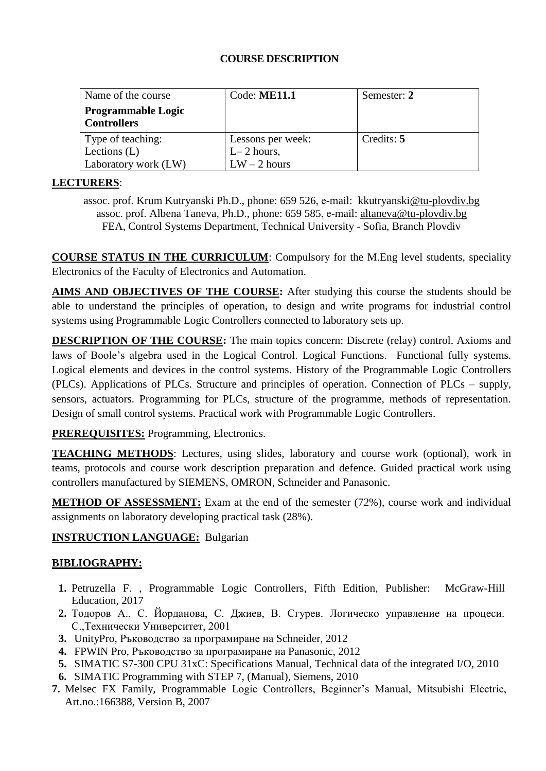#### **COURSE DESCRIPTION**

| Name of the course        | Code: $ME11.1$    | Semester: 2 |
|---------------------------|-------------------|-------------|
| <b>Programmable Logic</b> |                   |             |
| <b>Controllers</b>        |                   |             |
| Type of teaching:         | Lessons per week: | Credits: 5  |
| Lections $(L)$            | $L-2$ hours,      |             |
| Laboratory work (LW)      | $LW - 2$ hours    |             |

## **LECTURERS**:

assoc. prof. Krum Kutryanski Ph.D., phone: 659 526, е-mail: [kkutryanski@tu-plovdiv.bg](mailto:mpetrov@tu-plovdiv.bg) assoc. prof. Albena Taneva, Ph.D., phone: 659 585, е-mail: [altaneva@tu-plovdiv.bg](mailto:altaneva@tu-plovdiv.bg) FEA, Control Systems Department, Technical University - Sofia, Branch Plovdiv

**COURSE STATUS IN THE CURRICULUM**: Compulsory for the M.Eng level students, speciality Electronics of the Faculty of Electronics and Automation.

**AIMS AND OBJECTIVES OF THE COURSE:** After studying this course the students should be able to understand the principles of operation, to design and write programs for industrial control systems using Programmable Logic Controllers connected to laboratory sets up.

**DESCRIPTION OF THE COURSE:** The main topics concern: Discrete (relay) control. Axioms and laws of Boole's algebra used in the Logical Control. Logical Functions. Functional fully systems. Logical elements and devices in the control systems. History of the Programmable Logic Controllers (PLCs). Applications of PLCs. Structure and principles of operation. Connection of PLCs – supply, sensors, actuators. Programming for PLCs, structure of the programme, methods of representation. Design of small control systems. Practical work with Programmable Logic Controllers.

**PREREQUISITES:** Programming, Electronics.

**TEACHING METHODS**: Lectures, using slides, laboratory and course work (optional), work in teams, protocols and course work description preparation and defence. Guided practical work using controllers manufactured by SIEMENS, OMRON, Schneider and Panasonic.

**METHOD OF ASSESSMENT:** Exam at the end of the semester (72%), course work and individual assignments on laboratory developing practical task (28%).

# **INSTRUCTION LANGUAGE:** Bulgarian

# **BIBLIOGRAPHY:**

- **1.** Petruzella F. , Programmable Logic Controllers, Fifth Edition, Publisher: [McGraw-Hill](http://www.tower.com/book-publisher/mcgraw-hill-college)  [Education, 2](http://www.tower.com/book-publisher/mcgraw-hill-college)017
- **2.** Тодоров А., С. Йорданова, С. Джиев, В. Сгурев. Логическо управление на процеси. С.,Технически Университет, 2001
- **3.** UnityPro, Ръководство за програмиране на Schneider, 2012
- **4.** FPWIN Pro, Ръководство за програмиране на Panasonic, 2012
- **5.** SIMATIC S7-300 CPU 31xC: Specifications Manual, Technical data of the integrated I/O, 2010
- **6.** SIMATIC Programming with STEP 7, (Manual), Siemens, 2010
- **7.** Melsec FX Family, Programmable Logic Controllers, Beginner's Manual, Mitsubishi Electric, Art.no.:166388, Version B, 2007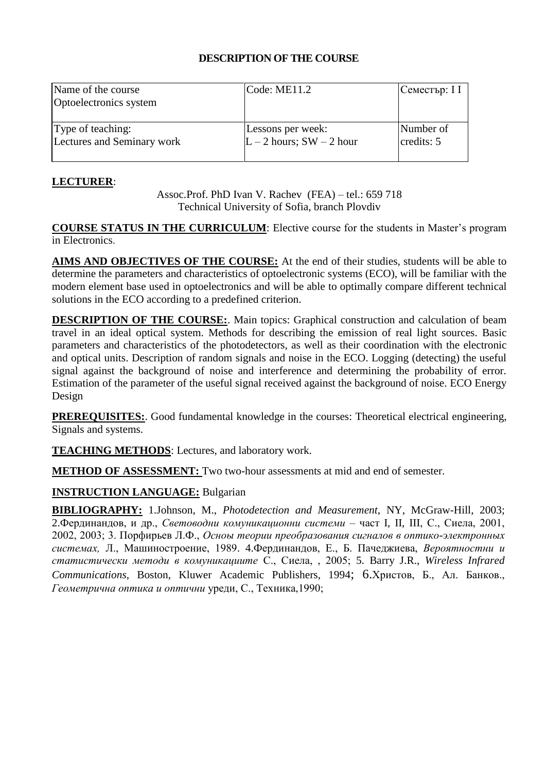| Name of the course<br>Optoelectronics system | $\text{Code:} \text{ME11.2}$ | Семестър: I I |
|----------------------------------------------|------------------------------|---------------|
| Type of teaching:                            | Lessons per week:            | Number of     |
| Lectures and Seminary work                   | $L - 2$ hours; SW - 2 hour   | credits: 5    |

## **LECTURER**:

Assoc.Prof. PhD Ivan V. Rachev (FEA) – tel.: 659 718 Technical University of Sofia, branch Plovdiv

**COURSE STATUS IN THE CURRICULUM**: Elective course for the students in Master's program in Electronics.

**AIMS AND OBJECTIVES OF THE COURSE:** At the end of their studies, students will be able to determine the parameters and characteristics of optoelectronic systems (ECO), will be familiar with the modern element base used in optoelectronics and will be able to optimally compare different technical solutions in the ECO according to a predefined criterion.

**DESCRIPTION OF THE COURSE:**. Main topics: Graphical construction and calculation of beam travel in an ideal optical system. Methods for describing the emission of real light sources. Basic parameters and characteristics of the photodetectors, as well as their coordination with the electronic and optical units. Description of random signals and noise in the ECO. Logging (detecting) the useful signal against the background of noise and interference and determining the probability of error. Estimation of the parameter of the useful signal received against the background of noise. ECO Energy Design

**PREREQUISITES:**. Good fundamental knowledge in the courses: Theoretical electrical engineering, Signals and systems.

**TEACHING METHODS**: Lectures, and laboratory work.

**METHOD OF ASSESSMENT:** Two two-hour assessments at mid and end of semester.

# **INSTRUCTION LANGUAGE:** Bulgarian

**BIBLIOGRAPHY:** 1.Johnson, M., *Photodetection and Measurement*, NY, McGraw-Hill, 2003; 2.Фердинандов, и др., *Световодни комуникационни системи* – част I, II, III, С., Сиела, 2001, 2002, 2003; 3. Порфирьев Л.Ф., *Осноы теории преобразования сигналов в оптико-электронных системах,* Л., Машиностроение, 1989. 4.Фердинандов, Е., Б. Пачеджиева, *Вероятностни и статистически методи в комуникациите* С., Сиела, , 2005; 5. Barry J.R., *Wireless Infrared Communications*, Boston, Kluwer Academic Publishers, 1994; 6.Христов, Б., Ал. Банков., *Геометрична оптика и оптични* уреди, С., Техника,1990;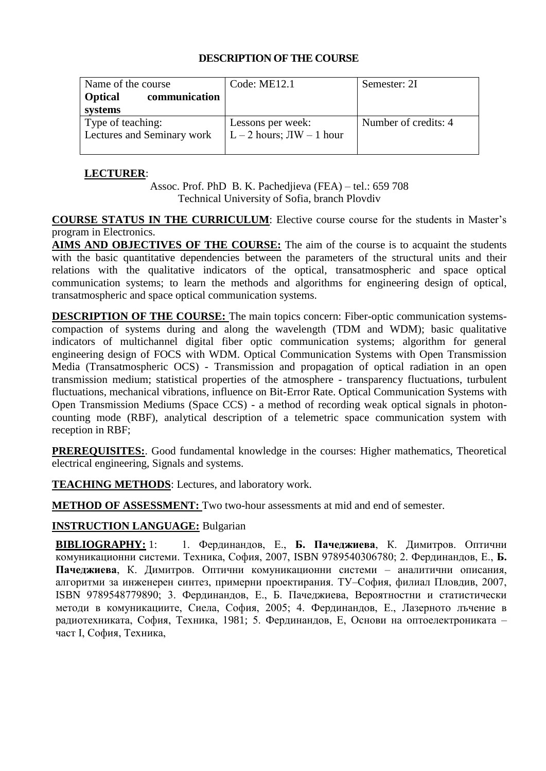| Name of the course              | Code: $ME12.1$               | Semester: 2I         |
|---------------------------------|------------------------------|----------------------|
| communication<br><b>Optical</b> |                              |                      |
| systems                         |                              |                      |
| Type of teaching:               | Lessons per week:            | Number of credits: 4 |
| Lectures and Seminary work      | $L - 2$ hours; $JW - 1$ hour |                      |
|                                 |                              |                      |

# **LECTURER**:

Assoc. Prof. PhD B. K. Pachedjieva (FEA) – tel.: 659 708 Technical University of Sofia, branch Plovdiv

**COURSE STATUS IN THE CURRICULUM**: Elective course course for the students in Master's program in Electronics.

**AIMS AND OBJECTIVES OF THE COURSE:** The aim of the course is to acquaint the students with the basic quantitative dependencies between the parameters of the structural units and their relations with the qualitative indicators of the optical, transatmospheric and space optical communication systems; to learn the methods and algorithms for engineering design of optical, transatmospheric and space optical communication systems.

**DESCRIPTION OF THE COURSE:** The main topics concern: Fiber-optic communication systemscompaction of systems during and along the wavelength (TDM and WDM); basic qualitative indicators of multichannel digital fiber optic communication systems; algorithm for general engineering design of FOCS with WDM. Optical Communication Systems with Open Transmission Media (Transatmospheric OCS) - Transmission and propagation of optical radiation in an open transmission medium; statistical properties of the atmosphere - transparency fluctuations, turbulent fluctuations, mechanical vibrations, influence on Bit-Error Rate. Optical Communication Systems with Open Transmission Mediums (Space CCS) - a method of recording weak optical signals in photoncounting mode (RBF), analytical description of a telemetric space communication system with reception in RBF;

**PREREQUISITES:**. Good fundamental knowledge in the courses: Higher mathematics, Theoretical electrical engineering, Signals and systems.

**TEACHING METHODS**: Lectures, and laboratory work.

**METHOD OF ASSESSMENT:** Two two-hour assessments at mid and end of semester.

# **INSTRUCTION LANGUAGE:** Bulgarian

**BIBLIOGRAPHY:** 1: 1. Фердинандов, Е., **Б. Пачеджиева**, К. Димитров. Оптични комуникационни системи. Техника, София, 2007, ISBN 9789540306780; 2. Фердинандов, Е., **Б. Пачеджиева**, К. Димитров. Оптични комуникационни системи – аналитични описания, алгоритми за инженерен синтез, примерни проектирания. ТУ–София, филиал Пловдив, 2007, ISBN 9789548779890; 3. Фердинандов, Е., Б. Пачеджиева, Вероятностни и статистически методи в комуникациите, Сиела, София, 2005; 4. Фердинандов, Е., Лазерното лъчение в радиотехниката, София, Техника, 1981; 5. Фердинандов, Е, Основи на оптоелектрониката – част I, София, Техника,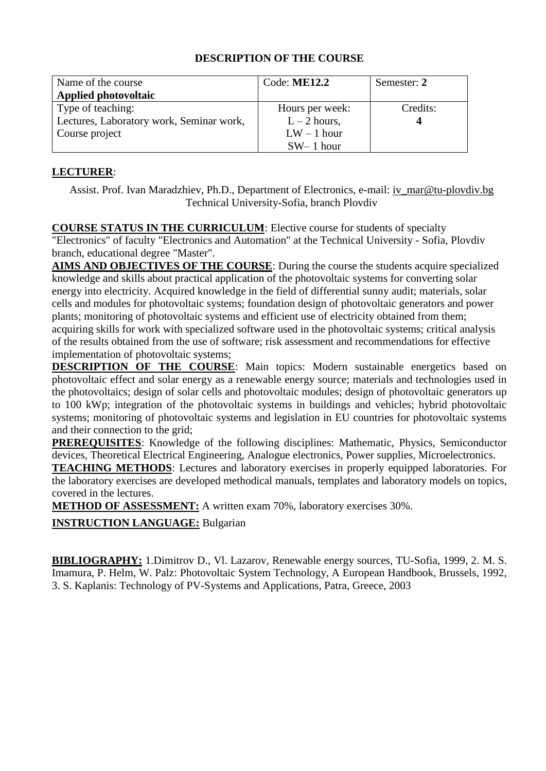| Name of the course<br><b>Applied photovoltaic</b> | Code: ME12.2    | Semester: 2 |
|---------------------------------------------------|-----------------|-------------|
| Type of teaching:                                 | Hours per week: | Credits:    |
| Lectures, Laboratory work, Seminar work,          | $L - 2$ hours,  |             |
| Course project                                    | $LW - 1$ hour   |             |
|                                                   | $SW-1$ hour     |             |

#### **LECTURER**:

Assist. Prof. Ivan Maradzhiev, Ph.D., Department of Electronics, e-mail: [iv\\_mar@tu-plovdiv.bg](mailto:iv_mar@tu-plovdiv.bg)  Technical University-Sofia, branch Plovdiv

**COURSE STATUS IN THE CURRICULUM**: Elective course for students of specialty "Electronics" of faculty "Electronics and Automation" at the Technical University - Sofia, Plovdiv branch, educational degree "Master".

**AIMS AND OBJECTIVES OF THE COURSE**: During the course the students acquire specialized knowledge and skills about practical application of the photovoltaic systems for converting solar energy into electricity. Acquired knowledge in the field of differential sunny audit; materials, solar cells and modules for photovoltaic systems; foundation design of photovoltaic generators and power plants; monitoring of photovoltaic systems and efficient use of electricity obtained from them; acquiring skills for work with specialized software used in the photovoltaic systems; critical analysis of the results obtained from the use of software; risk assessment and recommendations for effective implementation of photovoltaic systems;

**DESCRIPTION OF THE COURSE**: Main topics: Modern sustainable energetics based on photovoltaic effect and solar energy as a renewable energy source; materials and technologies used in the photovoltaics; design of solar cells and photovoltaic modules; design of photovoltaic generators up to 100 kWp; integration of the photovoltaic systems in buildings and vehicles; hybrid photovoltaic systems; monitoring of photovoltaic systems and legislation in EU countries for photovoltaic systems and their connection to the grid;

**PREREQUISITES**: Knowledge of the following disciplines: Mathematic, Physics, Semiconductor devices, Theoretical Electrical Engineering, Analogue electronics, Power supplies, Microelectronics.

**TEACHING METHODS**: Lectures and laboratory exercises in properly equipped laboratories. For the laboratory exercises are developed methodical manuals, templates and laboratory models on topics, covered in the lectures.

**METHOD OF ASSESSMENT:** A written exam 70%, laboratory exercises 30%.

**INSTRUCTION LANGUAGE:** Bulgarian

**BIBLIOGRAPHY:** 1.Dimitrov D., Vl. Lazarov, Renewable energy sources, TU-Sofia, 1999, 2. M. S. Imamura, P. Helm, W. Palz: Photovoltaic System Technology, A European Handbook, Brussels, 1992, 3. S. Kaplanis: Technology of PV-Systems and Applications, Patra, Greece, 2003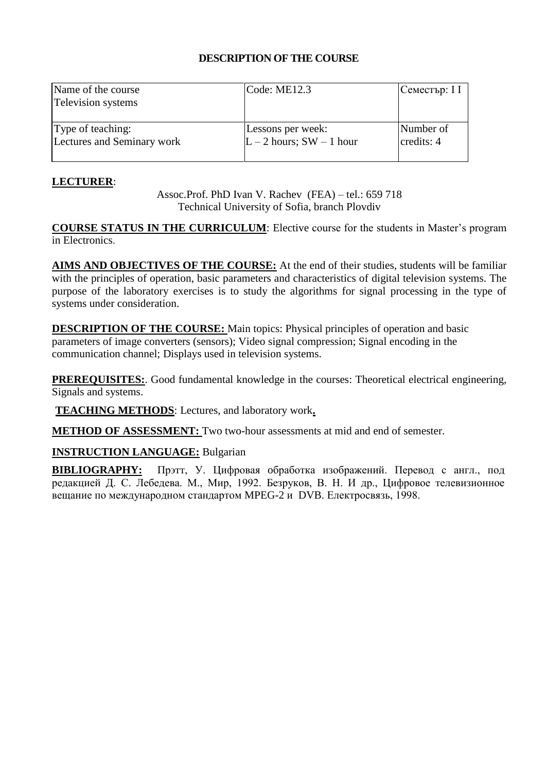| Name of the course<br><b>Television</b> systems | $\text{Code: ME12.3}$      | Семестър: I I |
|-------------------------------------------------|----------------------------|---------------|
| Type of teaching:                               | Lessons per week:          | Number of     |
| Lectures and Seminary work                      | $L - 2$ hours; SW - 1 hour | credits: 4    |

## **LECTURER**:

Assoc.Prof. PhD Ivan V. Rachev (FEA) – tel.: 659 718 Technical University of Sofia, branch Plovdiv

**COURSE STATUS IN THE CURRICULUM**: Elective course for the students in Master's program in Electronics.

**AIMS AND OBJECTIVES OF THE COURSE:** At the end of their studies, students will be familiar with the principles of operation, basic parameters and characteristics of digital television systems. The purpose of the laboratory exercises is to study the algorithms for signal processing in the type of systems under consideration.

**DESCRIPTION OF THE COURSE:** Main topics: Physical principles of operation and basic parameters of image converters (sensors); Video signal compression; Signal encoding in the communication channel; Displays used in television systems.

**PREREQUISITES:**. Good fundamental knowledge in the courses: Theoretical electrical engineering, Signals and systems.

**TEACHING METHODS**: Lectures, and laboratory work**.**

**METHOD OF ASSESSMENT:** Two two-hour assessments at mid and end of semester.

# **INSTRUCTION LANGUAGE:** Bulgarian

**BIBLIOGRAPHY:** Прэтт, У. Цифровая обработка изображений. Перевод с англ., под редакцией Д. С. Лебедева. М., Мир, 1992. Безруков, В. Н. И др., Цифровое телевизионное вещание по международном стандартом MPEG-2 и DVB. Електросвязь, 1998.